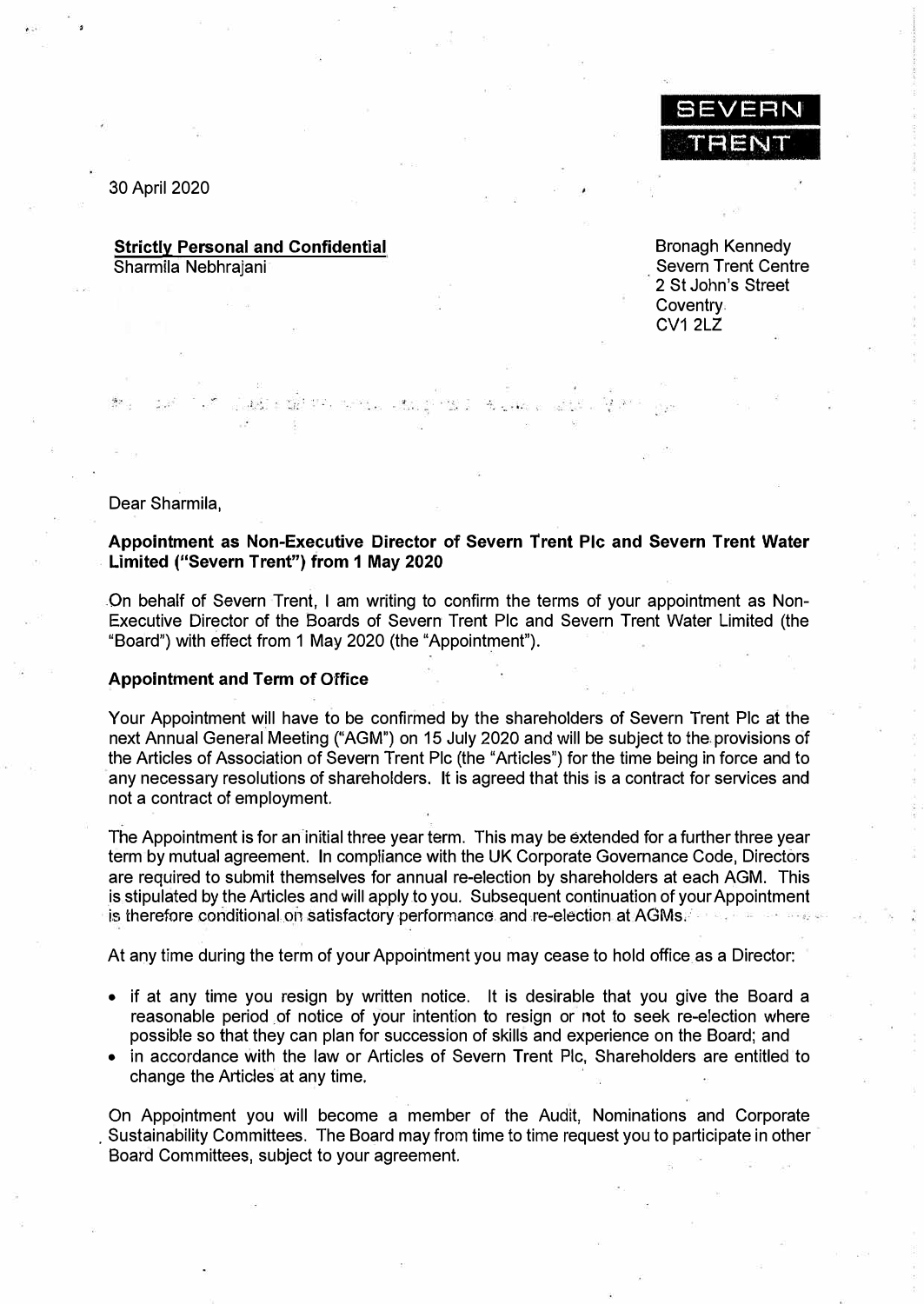

30 April 2020

### **Strictly Personal and Confidential**  Sharmila Nebhrajani

تال ٹیم کے خلا

Brenagh Kennedy Severn Trent Centre 2 St John's Street **Coventry**  $CV1 2LZ$ 

Dear Sharmila,

## **Appointment as Non-Executive Director of Severn Trent Pie and Severn Trent Water Limited ("Severn Trent") from 1 May 2020**

On behalf of Severn Trent, I am writing to confirm the terms of your appointment as Non-Executive Director of the Boards of Severn Trent Pie and Severn Trent Water Limited (the "Board") with effect from 1 May 2020 (the "Appointment").

#### **Appointment and Term of Office**

Your Appointment will have to be confirmed by the shareholders of Severn Trent Pie at the next Annual General Meeting ("AGM") on 15 July 2020 and will be subject to the provisions of the Articles of Association of Severn Trent Pie (the "Articles") for the time being in force and to any necessary resolutions of shareholders. It is agreed that this is a contract for services and not a contract of employment.

The Appointment is for an initial three year term. This may be extended for a further three year term by mutual agreement. In compliance with the UK Corporate Governance Code, Directors are required to submit themselves for annual re-election by shareholders at each AGM. This is stipulated by the Articles and will apply to you. Subsequent continuation of your Appointment is therefore conditional on satisfactory performance and re-election at AGMs.

At any time during the term of your Appointment you may cease to hold office as a Director:

- if at any time you resign by written notice. It is desirable that you give the Board a reasonable period of notice of your intention to resign or not to seek re-election where possible so that they can plan for succession of skills and experience on the Board; and
- in accordance with the law or Articles of Severn Trent Pie, Shareholders are entitled to change the Articles at any time.

On Appointment you will become a member of the Audit, Nominations and Corporate . Sustainability Committees. The Board may from time to time request you to participate in other Board Committees, subject to your agreement.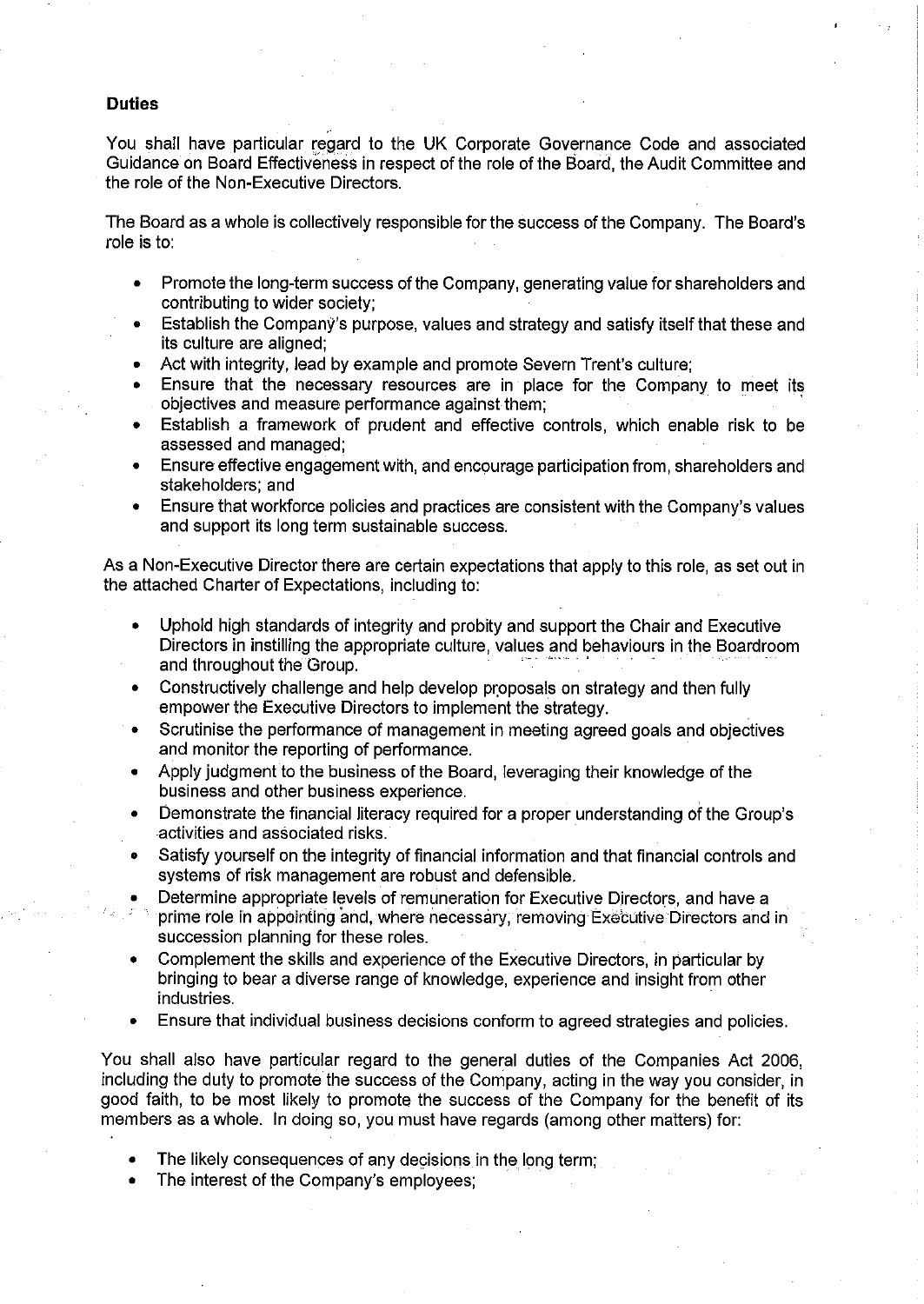### **Duties**

You shall have particular regard to the UK Corporate Governance Code and associated Guidance on Board Effectiveness in respect of the role of the Board, the Audit Committee and the role of the Non-Executive Directors.

The Board as a whole is collectively responsible for the success of the Company. The Board's role is to:

- Promote the long-term success of the Company, generating value for shareholders and  $\bullet$ contributing to wider society:
- Establish the Company's purpose, values and strategy and satisfy itself that these and its culture are aligned;
- Act with integrity, lead by example and promote Severn Trent's culture;  $\blacksquare$
- Ensure that the necessary resources are in place for the Company to meet its objectives and measure performance against them;
- Establish a framework of prudent and effective controls, which enable risk to be assessed and managed;
- Ensure effective engagement with, and encourage participation from, shareholders and stakeholders: and
- Ensure that workforce policies and practices are consistent with the Company's values and support its long term sustainable success.

As a Non-Executive Director there are certain expectations that apply to this role, as set out in the attached Charter of Expectations, including to:

- Uphold high standards of integrity and probity and support the Chair and Executive Directors in instilling the appropriate culture, values and behaviours in the Boardroom and throughout the Group.
- Constructively challenge and help develop proposals on strategy and then fully empower the Executive Directors to implement the strategy.
- Scrutinise the performance of management in meeting agreed goals and objectives and monitor the reporting of performance.
- Apply judgment to the business of the Board, leveraging their knowledge of the business and other business experience.
- Demonstrate the financial literacy required for a proper understanding of the Group's activities and associated risks.
- Satisfy yourself on the integrity of financial information and that financial controls and systems of risk management are robust and defensible.
- Determine appropriate levels of remuneration for Executive Directors, and have a
- prime role in appointing and, where necessary, removing Executive Directors and in succession planning for these roles.
- Complement the skills and experience of the Executive Directors, in particular by bringing to bear a diverse range of knowledge, experience and insight from other industries.
- Ensure that individual business decisions conform to agreed strategies and policies.

You shall also have particular regard to the general duties of the Companies Act 2006. including the duty to promote the success of the Company, acting in the way you consider, in good faith, to be most likely to promote the success of the Company for the benefit of its members as a whole. In doing so, you must have regards (among other matters) for:

- The likely consequences of any decisions in the long term;
- The interest of the Company's employees: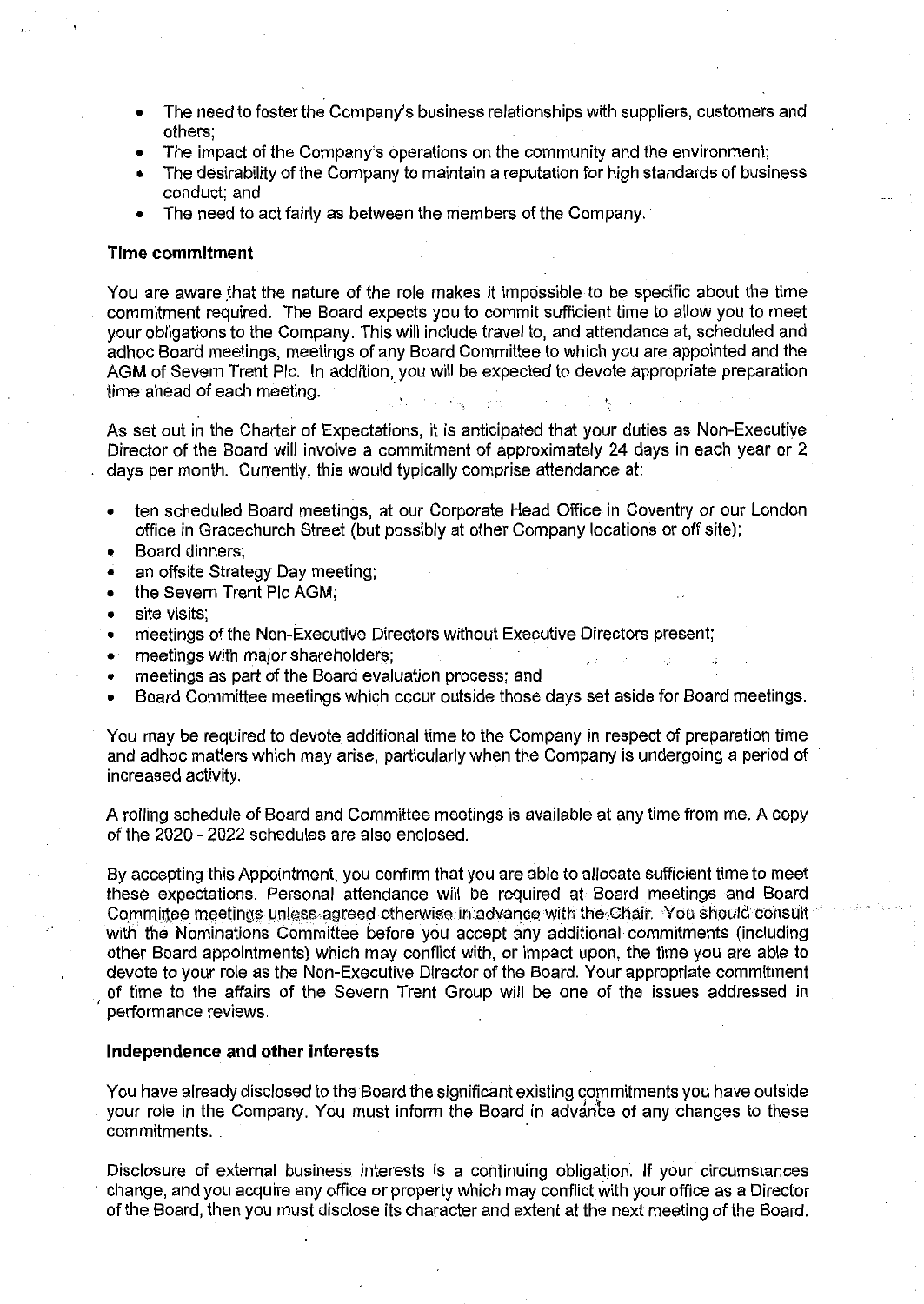- The need to foster the Company's business relationships with suppliers, customers and others:
- The impact of the Company's operations on the community and the environment;
- The desirability of the Company to maintain a reputation for high standards of business conduct: and
- The need to act fairly as between the members of the Company.

### **Time commitment**

You are aware that the nature of the role makes it impossible to be specific about the time commitment required. The Board expects you to commit sufficient time to allow you to meet vour obligations to the Company. This will include travel to, and attendance at, scheduled and adhoc Board meetings, meetings of any Board Committee to which you are appointed and the AGM of Severn Trent Plc. In addition, you will be expected to devote appropriate preparation time ahead of each meeting.

As set out in the Charter of Expectations, it is anticipated that your duties as Non-Executive Director of the Board will involve a commitment of approximately 24 days in each year or 2 days per month. Currently, this would typically comprise attendance at:

- ten scheduled Board meetings, at our Corporate Head Office in Coventry or our London office in Gracechurch Street (but possibly at other Company locations or off site);
- Board dinners;
- an offsite Strategy Day meeting;
- the Severn Trent Plc AGM;
- site visits:
- meetings of the Non-Executive Directors without Executive Directors present;
- meetings with major shareholders:
- meetings as part of the Board evaluation process; and
- Board Committee meetings which occur outside those days set aside for Board meetings.

You may be required to devote additional time to the Company in respect of preparation time and adhoc matters which may arise, particularly when the Company is undergoing a period of increased activity.

A rolling schedule of Board and Committee meetings is available at any time from me. A copy of the 2020 - 2022 schedules are also enclosed.

By accepting this Appointment, you confirm that you are able to allocate sufficient time to meet these expectations. Personal attendance will be required at Board meetings and Board Committee meetings unless agreed otherwise in advance with the Chair. You should consult with the Nominations Committee before you accept any additional commitments (including other Board appointments) which may conflict with, or impact upon, the time you are able to devote to your role as the Non-Executive Director of the Board. Your appropriate commitment of time to the affairs of the Severn Trent Group will be one of the issues addressed in performance reviews.

### Independence and other interests

You have already disclosed to the Board the significant existing commitments you have outside your role in the Company. You must inform the Board in advance of any changes to these commitments.

Disclosure of external business interests is a continuing obligation. If your circumstances change, and you acquire any office or property which may conflict with your office as a Director of the Board, then you must disclose its character and extent at the next meeting of the Board.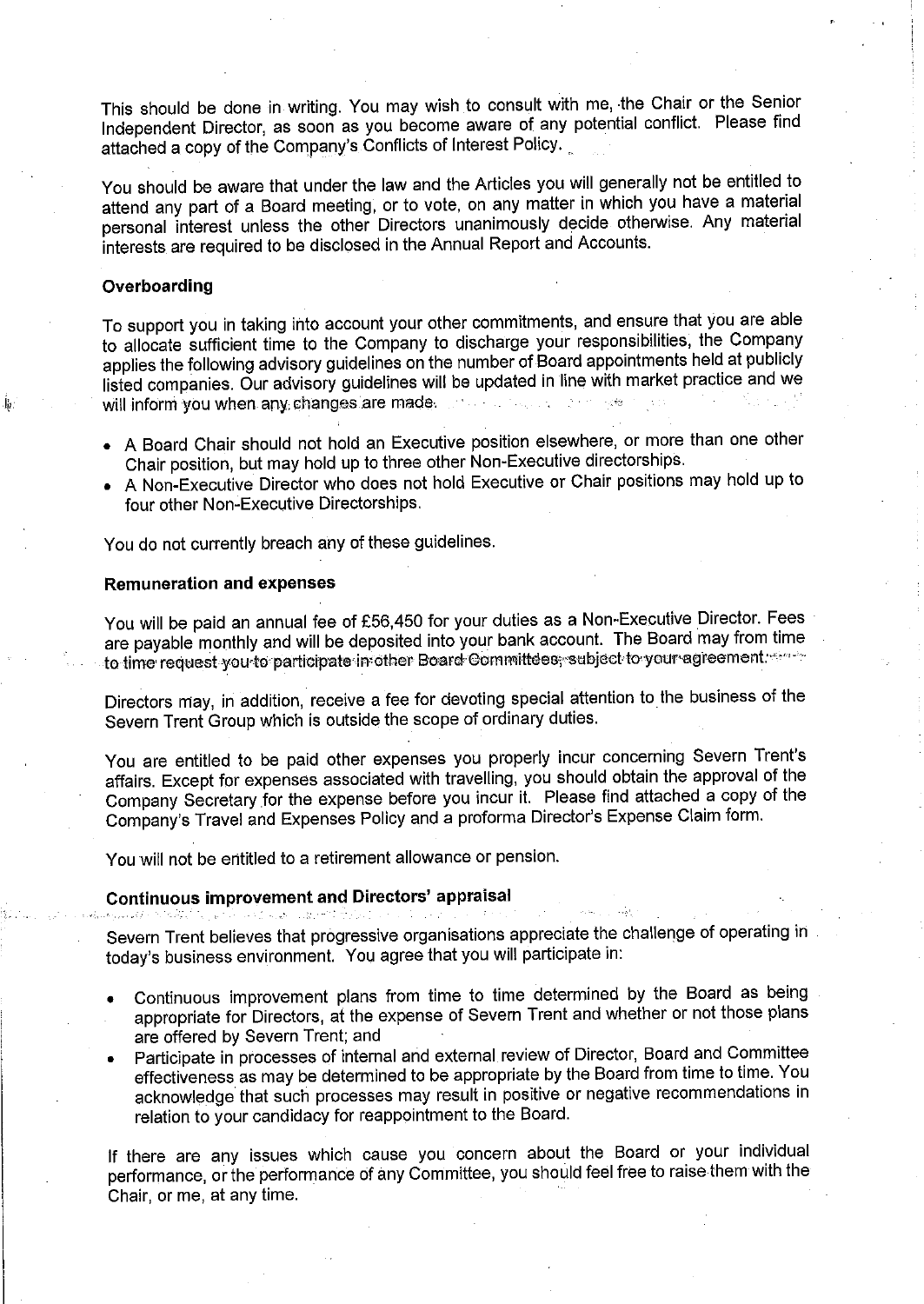This should be done in writing. You may wish to consult with me, the Chair or the Senior Independent Director, as soon as you become aware of any potential conflict. Please find attached a copy of the Company's Conflicts of Interest Policy.

You should be aware that under the law and the Articles you will generally not be entitled to attend any part of a Board meeting, or to vote, on any matter in which you have a material personal interest unless the other Directors unanimously decide otherwise. Any material interests are required to be disclosed in the Annual Report and Accounts.

### Overboarding

To support you in taking into account your other commitments, and ensure that you are able to allocate sufficient time to the Company to discharge your responsibilities, the Company applies the following advisory guidelines on the number of Board appointments held at publicly listed companies. Our advisory guidelines will be updated in line with market practice and we will inform you when any changes are made. The contract the setting of

- A Board Chair should not hold an Executive position elsewhere, or more than one other Chair position, but may hold up to three other Non-Executive directorships.
- A Non-Executive Director who does not hold Executive or Chair positions may hold up to four other Non-Executive Directorships.

You do not currently breach any of these guidelines.

# **Remuneration and expenses**

You will be paid an annual fee of £56,450 for your duties as a Non-Executive Director. Fees are payable monthly and will be deposited into your bank account. The Board may from time to time request you to participate in other Board Committees, subject to your agreement.

Directors may, in addition, receive a fee for devoting special attention to the business of the Severn Trent Group which is outside the scope of ordinary duties.

You are entitled to be paid other expenses you properly incur concerning Severn Trent's affairs. Except for expenses associated with travelling, you should obtain the approval of the Company Secretary for the expense before you incur it. Please find attached a copy of the Company's Travel and Expenses Policy and a proforma Director's Expense Claim form.

You will not be entitled to a retirement allowance or pension.

### **Continuous improvement and Directors' appraisal**

Severn Trent believes that progressive organisations appreciate the challenge of operating in today's business environment. You agree that you will participate in:

- Continuous improvement plans from time to time determined by the Board as being appropriate for Directors, at the expense of Severn Trent and whether or not those plans are offered by Severn Trent; and
- Participate in processes of internal and external review of Director, Board and Committee effectiveness as may be determined to be appropriate by the Board from time to time. You acknowledge that such processes may result in positive or negative recommendations in relation to your candidacy for reappointment to the Board.

If there are any issues which cause you concern about the Board or your individual performance, or the performance of any Committee, you should feel free to raise them with the Chair, or me, at any time.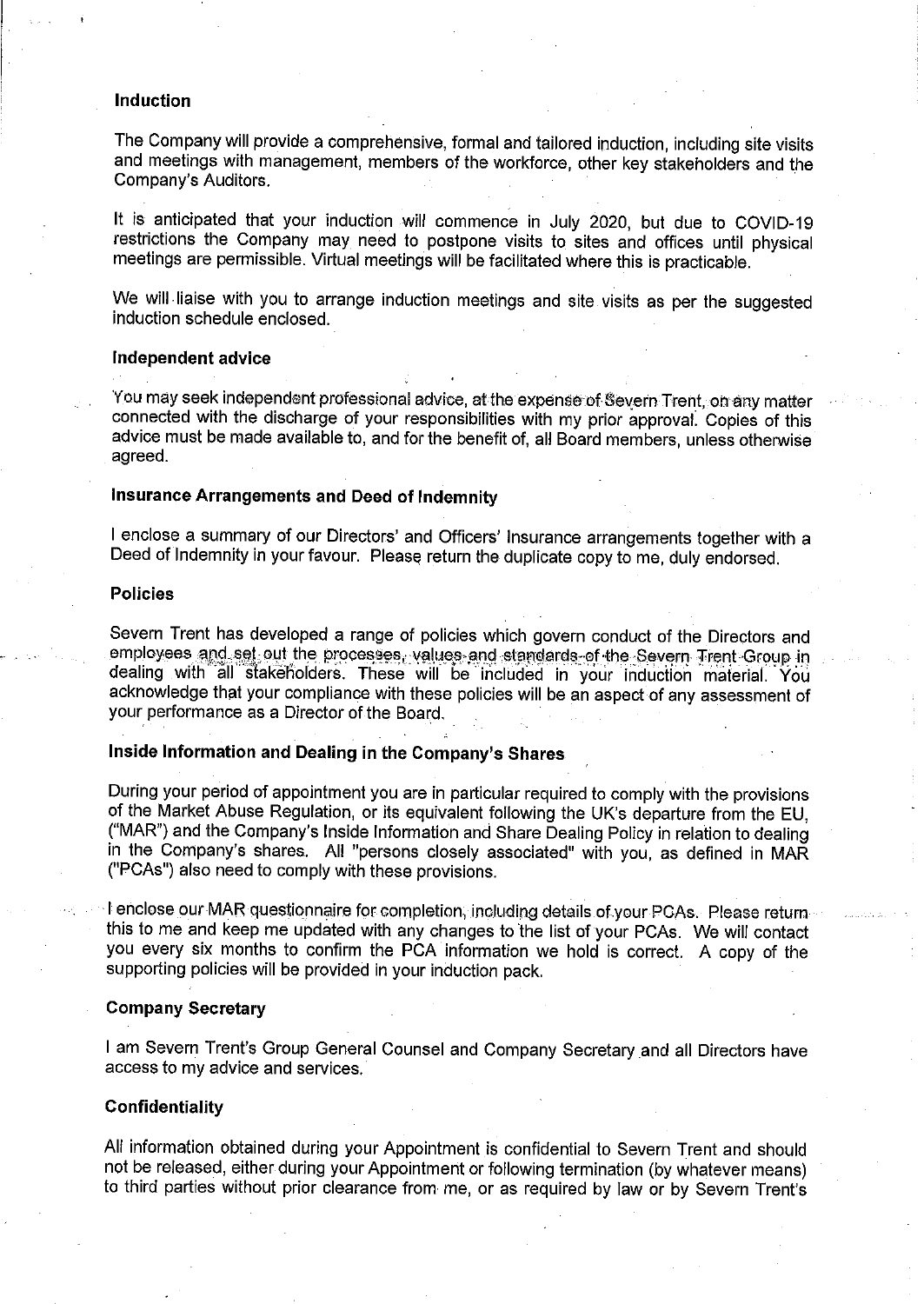#### **Induction**

The Company will provide a comprehensive, formal and tailored induction, including site visits and meetings with management, members of the workforce, other key stakeholders and the Company's Auditors.

It is anticipated that your induction will commence in July 2020, but due to COVID-19 restrictions the Company may need to postpone visits to sites and offices until physical meetings are permissible. Virtual meetings will be facilitated where this is practicable.

We will liaise with you to arrange induction meetings and site visits as per the suggested induction schedule enclosed.

#### Independent advice

You may seek independent professional advice, at the expense of Severn Trent, on any matter connected with the discharge of your responsibilities with my prior approval. Copies of this advice must be made available to, and for the benefit of, all Board members, unless otherwise agreed.

# Insurance Arrangements and Deed of Indemnity

I enclose a summary of our Directors' and Officers' Insurance arrangements together with a Deed of Indemnity in your favour. Please return the duplicate copy to me, duly endorsed.

#### **Policies**

Severn Trent has developed a range of policies which govern conduct of the Directors and employees and set out the processes, values and standards of the Severn Trent Group in dealing with all stakeholders. These will be included in your induction material. You acknowledge that your compliance with these policies will be an aspect of any assessment of your performance as a Director of the Board.

# Inside Information and Dealing in the Company's Shares

During your period of appointment you are in particular required to comply with the provisions of the Market Abuse Regulation, or its equivalent following the UK's departure from the EU. ("MAR") and the Company's Inside Information and Share Dealing Policy in relation to dealing in the Company's shares. All "persons closely associated" with you, as defined in MAR ("PCAs") also need to comply with these provisions.

I enclose our MAR questionnaire for completion, including details of your PCAs. Please return this to me and keep me updated with any changes to the list of your PCAs. We will contact you every six months to confirm the PCA information we hold is correct. A copy of the supporting policies will be provided in your induction pack.

### **Company Secretary**

I am Severn Trent's Group General Counsel and Company Secretary and all Directors have access to my advice and services.

#### Confidentiality

All information obtained during your Appointment is confidential to Severn Trent and should not be released, either during your Appointment or following termination (by whatever means) to third parties without prior clearance from me, or as required by law or by Severn Trent's